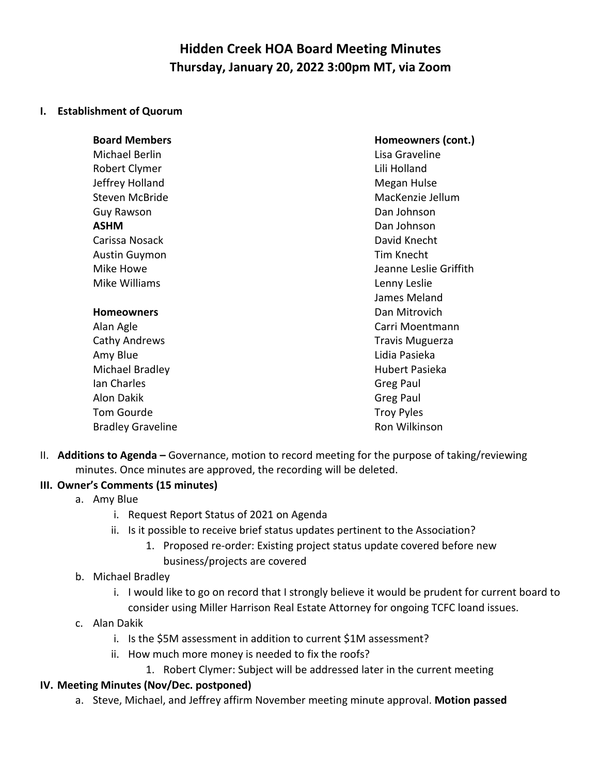# **Hidden Creek HOA Board Meeting Minutes Thursday, January 20, 2022 3:00pm MT, via Zoom**

#### **I. Establishment of Quorum**

| <b>Board Members</b>     | Homeowners (cont.)     |
|--------------------------|------------------------|
| Michael Berlin           | Lisa Graveline         |
| Robert Clymer            | Lili Holland           |
| Jeffrey Holland          | Megan Hulse            |
| <b>Steven McBride</b>    | MacKenzie Jellum       |
| Guy Rawson               | Dan Johnson            |
| <b>ASHM</b>              | Dan Johnson            |
| Carissa Nosack           | David Knecht           |
| <b>Austin Guymon</b>     | Tim Knecht             |
| Mike Howe                | Jeanne Leslie Griffith |
| Mike Williams            | Lenny Leslie           |
|                          | James Meland           |
| <b>Homeowners</b>        | Dan Mitrovich          |
| Alan Agle                | Carri Moentmann        |
| Cathy Andrews            | <b>Travis Muguerza</b> |
| Amy Blue                 | Lidia Pasieka          |
| Michael Bradley          | Hubert Pasieka         |
| Ian Charles              | Greg Paul              |
| <b>Alon Dakik</b>        | Greg Paul              |
| Tom Gourde               | <b>Troy Pyles</b>      |
| <b>Bradley Graveline</b> | Ron Wilkinson          |

II. **Additions to Agenda –** Governance, motion to record meeting for the purpose of taking/reviewing minutes. Once minutes are approved, the recording will be deleted.

### **III. Owner's Comments (15 minutes)**

- a. Amy Blue
	- i. Request Report Status of 2021 on Agenda
	- ii. Is it possible to receive brief status updates pertinent to the Association?
		- 1. Proposed re-order: Existing project status update covered before new business/projects are covered
- b. Michael Bradley
	- i. I would like to go on record that I strongly believe it would be prudent for current board to consider using Miller Harrison Real Estate Attorney for ongoing TCFC loand issues.
- c. Alan Dakik
	- i. Is the \$5M assessment in addition to current \$1M assessment?
	- ii. How much more money is needed to fix the roofs?
		- 1. Robert Clymer: Subject will be addressed later in the current meeting

#### **IV. Meeting Minutes (Nov/Dec. postponed)**

a. Steve, Michael, and Jeffrey affirm November meeting minute approval. **Motion passed**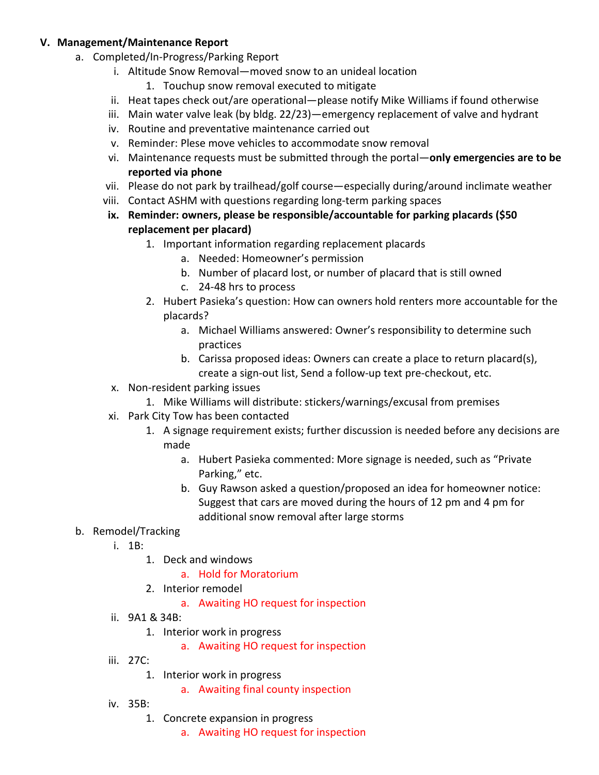#### **V. Management/Maintenance Report**

- a. Completed/In-Progress/Parking Report
	- i. Altitude Snow Removal—moved snow to an unideal location
		- 1. Touchup snow removal executed to mitigate
	- ii. Heat tapes check out/are operational—please notify Mike Williams if found otherwise
	- iii. Main water valve leak (by bldg. 22/23)—emergency replacement of valve and hydrant
	- iv. Routine and preventative maintenance carried out
	- v. Reminder: Plese move vehicles to accommodate snow removal
	- vi. Maintenance requests must be submitted through the portal—**only emergencies are to be reported via phone**
	- vii. Please do not park by trailhead/golf course—especially during/around inclimate weather
	- viii. Contact ASHM with questions regarding long-term parking spaces
	- **ix. Reminder: owners, please be responsible/accountable for parking placards (\$50 replacement per placard)**
		- 1. Important information regarding replacement placards
			- a. Needed: Homeowner's permission
			- b. Number of placard lost, or number of placard that is still owned
			- c. 24-48 hrs to process
		- 2. Hubert Pasieka's question: How can owners hold renters more accountable for the placards?
			- a. Michael Williams answered: Owner's responsibility to determine such practices
			- b. Carissa proposed ideas: Owners can create a place to return placard(s), create a sign-out list, Send a follow-up text pre-checkout, etc.
	- x. Non-resident parking issues
	- 1. Mike Williams will distribute: stickers/warnings/excusal from premises
	- xi. Park City Tow has been contacted
		- 1. A signage requirement exists; further discussion is needed before any decisions are made
			- a. Hubert Pasieka commented: More signage is needed, such as "Private Parking," etc.
			- b. Guy Rawson asked a question/proposed an idea for homeowner notice: Suggest that cars are moved during the hours of 12 pm and 4 pm for additional snow removal after large storms

#### b. Remodel/Tracking

- i. 1B:
	- 1. Deck and windows
		- a. Hold for Moratorium
	- 2. Interior remodel
		- a. Awaiting HO request for inspection
- ii. 9A1 & 34B:
	- 1. Interior work in progress
		- a. Awaiting HO request for inspection
- iii. 27C:
	- 1. Interior work in progress
		- a. Awaiting final county inspection
- iv. 35B:
	- 1. Concrete expansion in progress
		- a. Awaiting HO request for inspection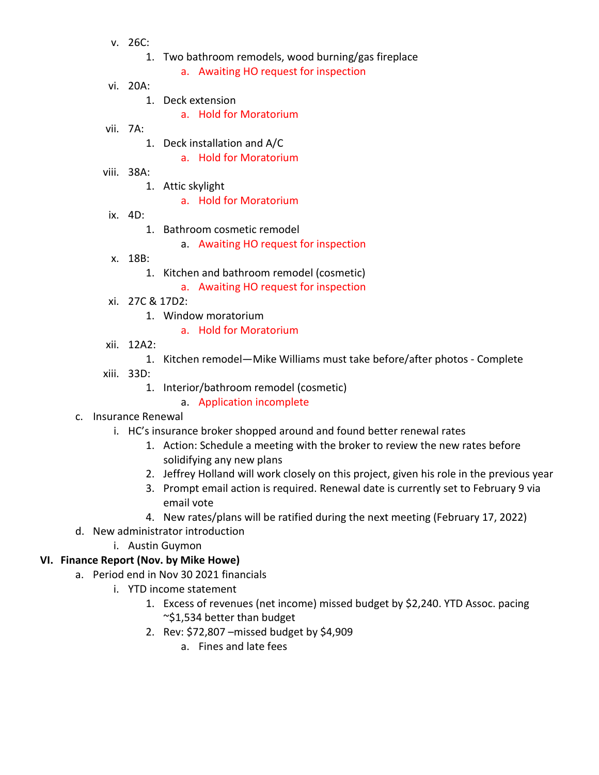- v. 26C:
	- 1. Two bathroom remodels, wood burning/gas fireplace
		- a. Awaiting HO request for inspection
- vi. 20A:
	- 1. Deck extension
		- a. Hold for Moratorium
- vii. 7A:
	- 1. Deck installation and A/C
		- a. Hold for Moratorium
- viii. 38A:
	- 1. Attic skylight
		- a. Hold for Moratorium
- ix. 4D:
	- 1. Bathroom cosmetic remodel
		- a. Awaiting HO request for inspection
- x. 18B:
	- 1. Kitchen and bathroom remodel (cosmetic)
		- a. Awaiting HO request for inspection
- xi. 27C & 17D2:
	- 1. Window moratorium
		- a. Hold for Moratorium
- xii. 12A2:
	- 1. Kitchen remodel—Mike Williams must take before/after photos Complete
- xiii. 33D:
	- 1. Interior/bathroom remodel (cosmetic)
		- a. Application incomplete
- c. Insurance Renewal
	- i. HC's insurance broker shopped around and found better renewal rates
		- 1. Action: Schedule a meeting with the broker to review the new rates before solidifying any new plans
		- 2. Jeffrey Holland will work closely on this project, given his role in the previous year
		- 3. Prompt email action is required. Renewal date is currently set to February 9 via email vote
		- 4. New rates/plans will be ratified during the next meeting (February 17, 2022)
- d. New administrator introduction
	- i. Austin Guymon
- **VI. Finance Report (Nov. by Mike Howe)**
	- a. Period end in Nov 30 2021 financials
		- i. YTD income statement
			- 1. Excess of revenues (net income) missed budget by \$2,240. YTD Assoc. pacing ~\$1,534 better than budget
			- 2. Rev: \$72,807 –missed budget by \$4,909
				- a. Fines and late fees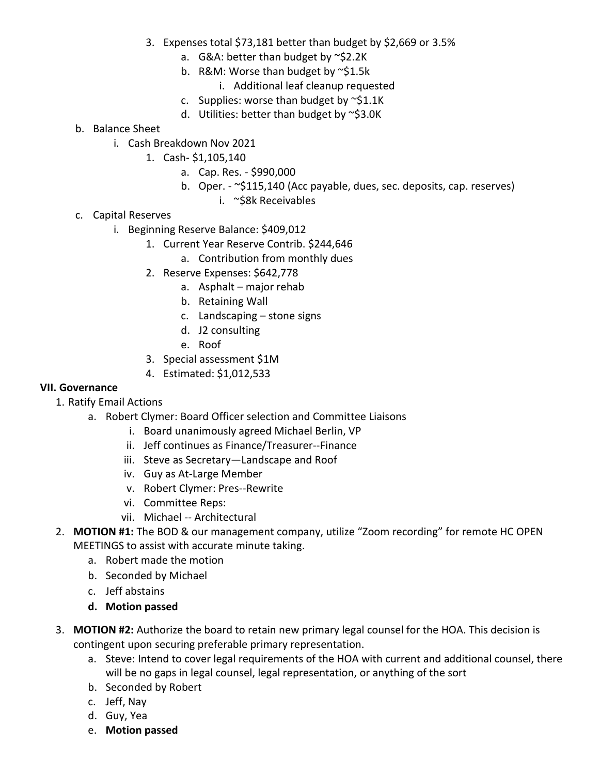- 3. Expenses total \$73,181 better than budget by \$2,669 or 3.5%
	- a. G&A: better than budget by ~\$2.2K
	- b. R&M: Worse than budget by ~\$1.5k
		- i. Additional leaf cleanup requested
	- c. Supplies: worse than budget by  $\sim$ \$1.1K
	- d. Utilities: better than budget by ~\$3.0K
- b. Balance Sheet
	- i. Cash Breakdown Nov 2021
		- 1. Cash- \$1,105,140
			- a. Cap. Res. \$990,000
			- b. Oper. ~\$115,140 (Acc payable, dues, sec. deposits, cap. reserves)
				- i. ~\$8k Receivables
- c. Capital Reserves
	- i. Beginning Reserve Balance: \$409,012
		- 1. Current Year Reserve Contrib. \$244,646
			- a. Contribution from monthly dues
		- 2. Reserve Expenses: \$642,778
			- a. Asphalt major rehab
			- b. Retaining Wall
			- c. Landscaping stone signs
			- d. J2 consulting
			- e. Roof
		- 3. Special assessment \$1M
		- 4. Estimated: \$1,012,533

#### **VII. Governance**

- 1. Ratify Email Actions
	- a. Robert Clymer: Board Officer selection and Committee Liaisons
		- i. Board unanimously agreed Michael Berlin, VP
		- ii. Jeff continues as Finance/Treasurer--Finance
		- iii. Steve as Secretary—Landscape and Roof
		- iv. Guy as At-Large Member
		- v. Robert Clymer: Pres--Rewrite
		- vi. Committee Reps:
		- vii. Michael -- Architectural
- 2. **MOTION #1:** The BOD & our management company, utilize "Zoom recording" for remote HC OPEN MEETINGS to assist with accurate minute taking.
	- a. Robert made the motion
	- b. Seconded by Michael
	- c. Jeff abstains
	- **d. Motion passed**
- 3. **MOTION #2:** Authorize the board to retain new primary legal counsel for the HOA. This decision is contingent upon securing preferable primary representation.
	- a. Steve: Intend to cover legal requirements of the HOA with current and additional counsel, there will be no gaps in legal counsel, legal representation, or anything of the sort
	- b. Seconded by Robert
	- c. Jeff, Nay
	- d. Guy, Yea
	- e. **Motion passed**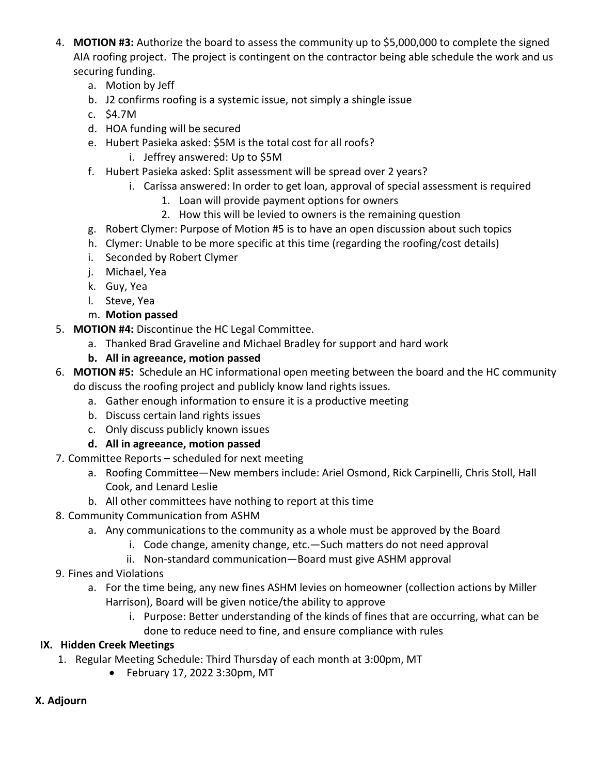- 4. **MOTION #3:** Authorize the board to assess the community up to \$5,000,000 to complete the signed AIA roofing project. The project is contingent on the contractor being able schedule the work and us securing funding.
	- a. Motion by Jeff
	- b. J2 confirms roofing is a systemic issue, not simply a shingle issue
	- c. \$4.7M
	- d. HOA funding will be secured
	- e. Hubert Pasieka asked: \$5M is the total cost for all roofs?
		- i. Jeffrey answered: Up to \$5M
	- f. Hubert Pasieka asked: Split assessment will be spread over 2 years?
		- i. Carissa answered: In order to get loan, approval of special assessment is required
			- 1. Loan will provide payment options for owners
			- 2. How this will be levied to owners is the remaining question
	- g. Robert Clymer: Purpose of Motion #5 is to have an open discussion about such topics
	- h. Clymer: Unable to be more specific at this time (regarding the roofing/cost details)
	- i. Seconded by Robert Clymer
	- j. Michael, Yea
	- k. Guy, Yea
	- l. Steve, Yea
	- m. **Motion passed**
- 5. **MOTION #4:** Discontinue the HC Legal Committee.
	- a. Thanked Brad Graveline and Michael Bradley for support and hard work
	- **b. All in agreeance, motion passed**
- 6. **MOTION #5:** Schedule an HC informational open meeting between the board and the HC community do discuss the roofing project and publicly know land rights issues.
	- a. Gather enough information to ensure it is a productive meeting
	- b. Discuss certain land rights issues
	- c. Only discuss publicly known issues
	- **d. All in agreeance, motion passed**
- 7. Committee Reports scheduled for next meeting
	- a. Roofing Committee—New members include: Ariel Osmond, Rick Carpinelli, Chris Stoll, Hall Cook, and Lenard Leslie
	- b. All other committees have nothing to report at this time
- 8. Community Communication from ASHM
	- a. Any communications to the community as a whole must be approved by the Board
		- i. Code change, amenity change, etc.—Such matters do not need approval
		- ii. Non-standard communication—Board must give ASHM approval
- 9. Fines and Violations
	- a. For the time being, any new fines ASHM levies on homeowner (collection actions by Miller Harrison), Board will be given notice/the ability to approve
		- i. Purpose: Better understanding of the kinds of fines that are occurring, what can be done to reduce need to fine, and ensure compliance with rules

## **IX. Hidden Creek Meetings**

- 1. Regular Meeting Schedule: Third Thursday of each month at 3:00pm, MT
	- February 17, 2022 3:30pm, MT

### **X. Adjourn**